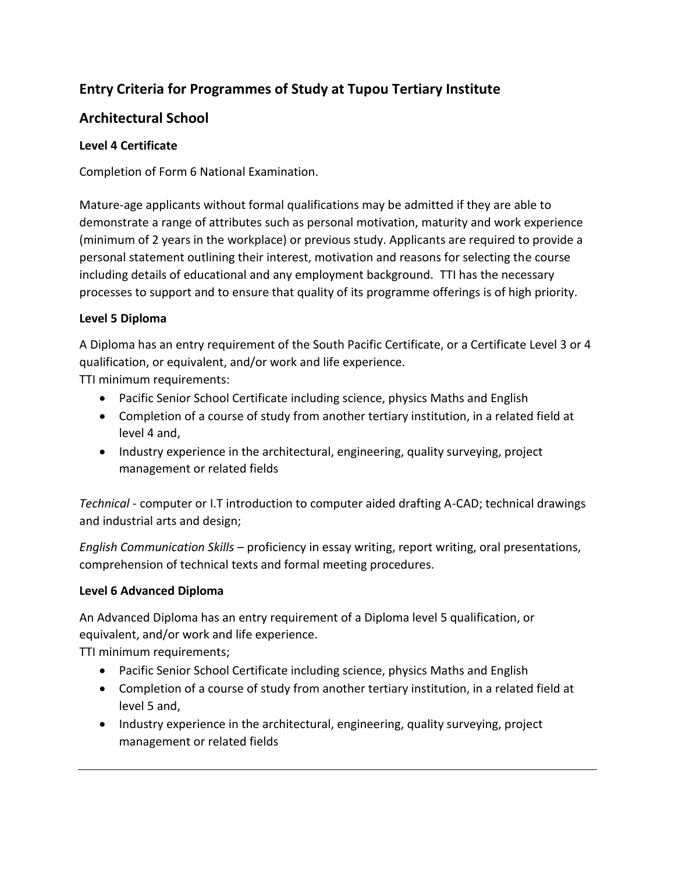# **Entry Criteria for Programmes of Study at Tupou Tertiary Institute**

# **Architectural School**

### **Level 4 Certificate**

Completion of Form 6 National Examination.

Mature-age applicants without formal qualifications may be admitted if they are able to demonstrate a range of attributes such as personal motivation, maturity and work experience (minimum of 2 years in the workplace) or previous study. Applicants are required to provide a personal statement outlining their interest, motivation and reasons for selecting the course including details of educational and any employment background. TTI has the necessary processes to support and to ensure that quality of its programme offerings is of high priority.

### **Level 5 Diploma**

A Diploma has an entry requirement of the South Pacific Certificate, or a Certificate Level 3 or 4 qualification, or equivalent, and/or work and life experience.

TTI minimum requirements:

- Pacific Senior School Certificate including science, physics Maths and English
- Completion of a course of study from another tertiary institution, in a related field at level 4 and,
- Industry experience in the architectural, engineering, quality surveying, project management or related fields

*Technical* - computer or I.T introduction to computer aided drafting A-CAD; technical drawings and industrial arts and design;

*English Communication Skills* – proficiency in essay writing, report writing, oral presentations, comprehension of technical texts and formal meeting procedures.

## **Level 6 Advanced Diploma**

An Advanced Diploma has an entry requirement of a Diploma level 5 qualification, or equivalent, and/or work and life experience.

TTI minimum requirements;

- Pacific Senior School Certificate including science, physics Maths and English
- Completion of a course of study from another tertiary institution, in a related field at level 5 and,
- Industry experience in the architectural, engineering, quality surveying, project management or related fields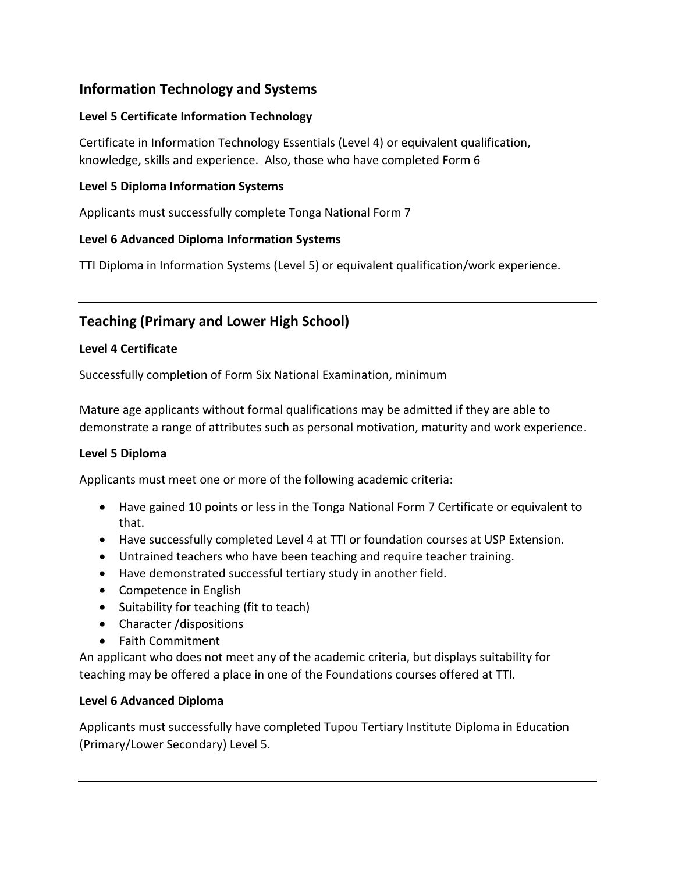# **Information Technology and Systems**

## **Level 5 Certificate Information Technology**

Certificate in Information Technology Essentials (Level 4) or equivalent qualification, knowledge, skills and experience. Also, those who have completed Form 6

## **Level 5 Diploma Information Systems**

Applicants must successfully complete Tonga National Form 7

## **Level 6 Advanced Diploma Information Systems**

TTI Diploma in Information Systems (Level 5) or equivalent qualification/work experience.

# **Teaching (Primary and Lower High School)**

## **Level 4 Certificate**

Successfully completion of Form Six National Examination, minimum

Mature age applicants without formal qualifications may be admitted if they are able to demonstrate a range of attributes such as personal motivation, maturity and work experience.

## **Level 5 Diploma**

Applicants must meet one or more of the following academic criteria:

- Have gained 10 points or less in the Tonga National Form 7 Certificate or equivalent to that.
- Have successfully completed Level 4 at TTI or foundation courses at USP Extension.
- Untrained teachers who have been teaching and require teacher training.
- Have demonstrated successful tertiary study in another field.
- Competence in English
- Suitability for teaching (fit to teach)
- Character /dispositions
- Faith Commitment

An applicant who does not meet any of the academic criteria, but displays suitability for teaching may be offered a place in one of the Foundations courses offered at TTI.

## **Level 6 Advanced Diploma**

Applicants must successfully have completed Tupou Tertiary Institute Diploma in Education (Primary/Lower Secondary) Level 5.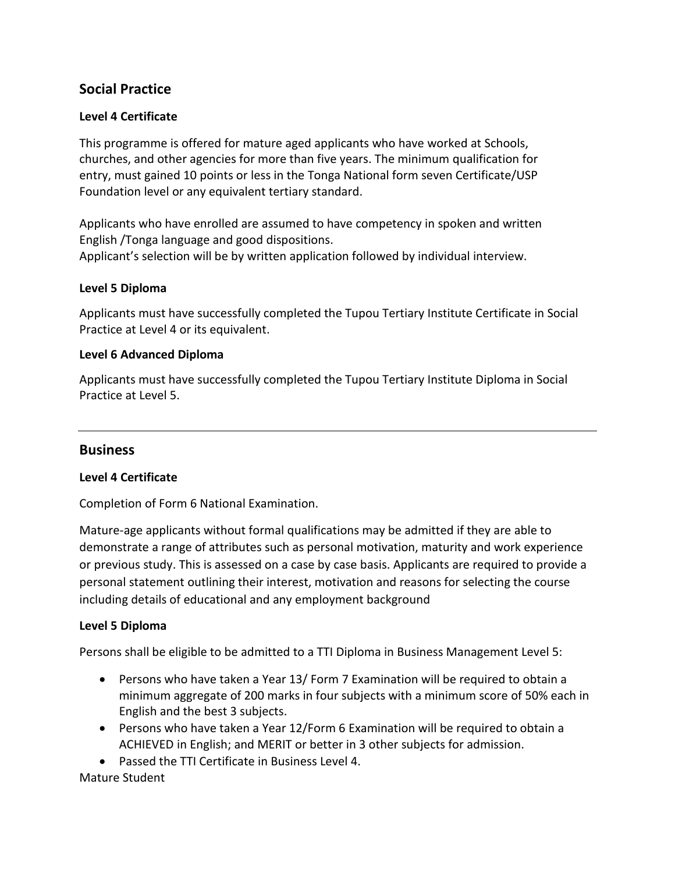# **Social Practice**

### **Level 4 Certificate**

This programme is offered for mature aged applicants who have worked at Schools, churches, and other agencies for more than five years. The minimum qualification for entry, must gained 10 points or less in the Tonga National form seven Certificate/USP Foundation level or any equivalent tertiary standard.

Applicants who have enrolled are assumed to have competency in spoken and written English /Tonga language and good dispositions. Applicant's selection will be by written application followed by individual interview.

#### **Level 5 Diploma**

Applicants must have successfully completed the Tupou Tertiary Institute Certificate in Social Practice at Level 4 or its equivalent.

#### **Level 6 Advanced Diploma**

Applicants must have successfully completed the Tupou Tertiary Institute Diploma in Social Practice at Level 5.

#### **Business**

#### **Level 4 Certificate**

Completion of Form 6 National Examination.

Mature-age applicants without formal qualifications may be admitted if they are able to demonstrate a range of attributes such as personal motivation, maturity and work experience or previous study. This is assessed on a case by case basis. Applicants are required to provide a personal statement outlining their interest, motivation and reasons for selecting the course including details of educational and any employment background

#### **Level 5 Diploma**

Persons shall be eligible to be admitted to a TTI Diploma in Business Management Level 5:

- Persons who have taken a Year 13/ Form 7 Examination will be required to obtain a minimum aggregate of 200 marks in four subjects with a minimum score of 50% each in English and the best 3 subjects.
- Persons who have taken a Year 12/Form 6 Examination will be required to obtain a ACHIEVED in English; and MERIT or better in 3 other subjects for admission.
- Passed the TTI Certificate in Business Level 4.

#### Mature Student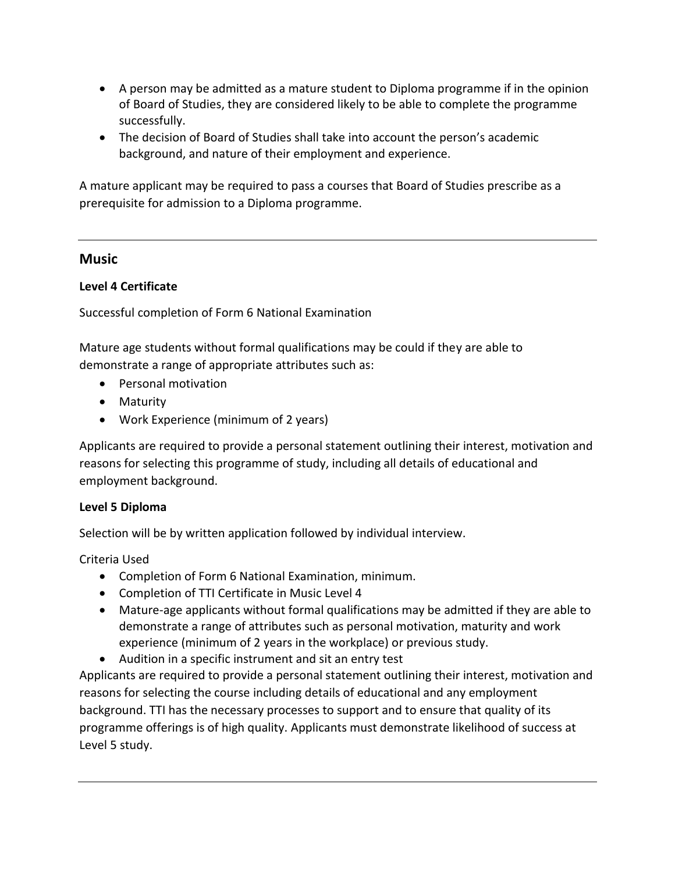- A person may be admitted as a mature student to Diploma programme if in the opinion of Board of Studies, they are considered likely to be able to complete the programme successfully.
- The decision of Board of Studies shall take into account the person's academic background, and nature of their employment and experience.

A mature applicant may be required to pass a courses that Board of Studies prescribe as a prerequisite for admission to a Diploma programme.

## **Music**

## **Level 4 Certificate**

Successful completion of Form 6 National Examination

Mature age students without formal qualifications may be could if they are able to demonstrate a range of appropriate attributes such as:

- Personal motivation
- Maturity
- Work Experience (minimum of 2 years)

Applicants are required to provide a personal statement outlining their interest, motivation and reasons for selecting this programme of study, including all details of educational and employment background.

## **Level 5 Diploma**

Selection will be by written application followed by individual interview.

Criteria Used

- Completion of Form 6 National Examination, minimum.
- Completion of TTI Certificate in Music Level 4
- Mature-age applicants without formal qualifications may be admitted if they are able to demonstrate a range of attributes such as personal motivation, maturity and work experience (minimum of 2 years in the workplace) or previous study.
- Audition in a specific instrument and sit an entry test

Applicants are required to provide a personal statement outlining their interest, motivation and reasons for selecting the course including details of educational and any employment background. TTI has the necessary processes to support and to ensure that quality of its programme offerings is of high quality. Applicants must demonstrate likelihood of success at Level 5 study.